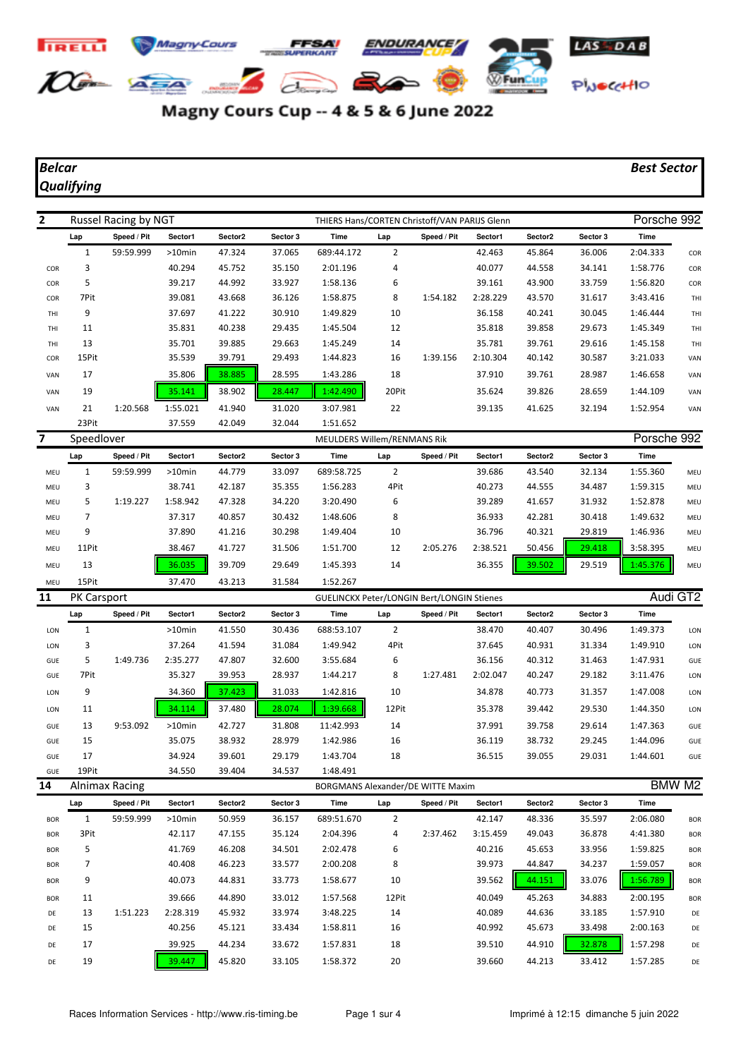

## Magny Cours Cup -- 4 & 5 & 6 June 2022

## *Qualifying*

## *Belcar Best Sector*

| $\overline{2}$ |                    | Russel Racing by NGT |                  |                  | THIERS Hans/CORTEN Christoff/VAN PARIJS Glenn |                                                   |          |             |                  |                  |                  |                      | Porsche 992 |
|----------------|--------------------|----------------------|------------------|------------------|-----------------------------------------------|---------------------------------------------------|----------|-------------|------------------|------------------|------------------|----------------------|-------------|
|                | Lap                | Speed / Pit          | Sector1          | Sector2          | Sector 3                                      | <b>Time</b>                                       | Lap      | Speed / Pit | Sector1          | Sector2          | Sector 3         | Time                 |             |
|                | $\mathbf{1}$       | 59:59.999            | $>10$ min        | 47.324           | 37.065                                        | 689:44.172                                        | 2        |             | 42.463           | 45.864           | 36.006           | 2:04.333             | COR         |
| COR            | 3                  |                      | 40.294           | 45.752           | 35.150                                        | 2:01.196                                          | 4        |             | 40.077           | 44.558           | 34.141           | 1:58.776             | COR         |
| COR            | 5                  |                      | 39.217           | 44.992           | 33.927                                        | 1:58.136                                          | 6        |             | 39.161           | 43.900           | 33.759           | 1:56.820             | COR         |
| COR            | 7Pit               |                      | 39.081           | 43.668           | 36.126                                        | 1:58.875                                          | 8        | 1:54.182    | 2:28.229         | 43.570           | 31.617           | 3:43.416             | THI         |
| THI            | 9                  |                      | 37.697           | 41.222           | 30.910                                        | 1:49.829                                          | 10       |             | 36.158           | 40.241           | 30.045           | 1:46.444             | THI         |
| THI            | 11                 |                      | 35.831           | 40.238           | 29.435                                        | 1:45.504                                          | 12       |             | 35.818           | 39.858           | 29.673           | 1:45.349             | THI         |
| THI            | 13                 |                      | 35.701           | 39.885           | 29.663                                        | 1:45.249                                          | 14       |             | 35.781           | 39.761           | 29.616           | 1:45.158             | THI         |
| COR            | 15Pit              |                      | 35.539           | 39.791           | 29.493                                        | 1:44.823                                          | 16       | 1:39.156    | 2:10.304         | 40.142           | 30.587           | 3:21.033             | VAN         |
| VAN            | 17                 |                      | 35.806           | 38.885           | 28.595                                        | 1:43.286                                          | 18       |             | 37.910           | 39.761           | 28.987           | 1:46.658             | VAN         |
| VAN            | 19                 |                      | 35.141           | 38.902           | 28.447                                        | 1:42.490                                          | 20Pit    |             | 35.624           | 39.826           | 28.659           | 1:44.109             | VAN         |
| VAN            | 21                 | 1:20.568             | 1:55.021         | 41.940           | 31.020                                        | 3:07.981                                          | 22       |             | 39.135           | 41.625           | 32.194           | 1:52.954             | VAN         |
|                | 23Pit              |                      | 37.559           | 42.049           | 32.044                                        | 1:51.652                                          |          |             |                  |                  |                  |                      |             |
| 7              | Speedlover         |                      |                  |                  |                                               | MEULDERS Willem/RENMANS Rik                       |          |             |                  |                  |                  | Porsche 992          |             |
|                | Lap                | Speed / Pit          | Sector1          | Sector2          | Sector 3                                      | <b>Time</b>                                       | Lap      | Speed / Pit | Sector1          | Sector2          | Sector 3         | <b>Time</b>          |             |
| MEU            | $\mathbf{1}$       | 59:59.999            | $>10$ min        | 44.779           | 33.097                                        | 689:58.725                                        | 2        |             | 39.686           | 43.540           | 32.134           | 1:55.360             | MEU         |
| MEU            | 3                  |                      | 38.741           | 42.187           | 35.355                                        | 1:56.283                                          | 4Pit     |             | 40.273           | 44.555           | 34.487           | 1:59.315             | MEU         |
| MEU            | 5                  | 1:19.227             | 1:58.942         | 47.328           | 34.220                                        | 3:20.490                                          | 6        |             | 39.289           | 41.657           | 31.932           | 1:52.878             | MEU         |
| MEU            | 7                  |                      | 37.317           | 40.857           | 30.432                                        | 1:48.606                                          | 8        |             | 36.933           | 42.281           | 30.418           | 1:49.632             | MEU         |
| MEU            | 9                  |                      | 37.890           | 41.216           | 30.298                                        | 1:49.404                                          | 10       |             | 36.796           | 40.321           | 29.819           | 1:46.936             | MEU         |
| MEU            | 11Pit              |                      | 38.467           | 41.727           | 31.506                                        | 1:51.700                                          | 12       | 2:05.276    | 2:38.521         | 50.456           | 29.418           | 3:58.395             | MEU         |
| MEU            | 13                 |                      | 36.035           | 39.709           | 29.649                                        | 1:45.393                                          | 14       |             | 36.355           | 39.502           | 29.519           | 1:45.376             | MEU         |
| MEU            | 15Pit              |                      | 37.470           | 43.213           | 31.584                                        | 1:52.267                                          |          |             |                  |                  |                  |                      |             |
| 11             | <b>PK Carsport</b> |                      |                  |                  |                                               | <b>GUELINCKX Peter/LONGIN Bert/LONGIN Stienes</b> |          |             |                  |                  |                  | Audi GT2             |             |
|                | Lap                | Speed / Pit          | Sector1          | Sector2          | Sector 3                                      | <b>Time</b>                                       | Lap      | Speed / Pit | Sector1          | Sector2          | Sector 3         | <b>Time</b>          |             |
|                |                    |                      |                  |                  |                                               |                                                   |          |             |                  |                  |                  |                      |             |
| LON            | $\mathbf{1}$       |                      | $>10$ min        | 41.550           | 30.436                                        | 688:53.107                                        | 2        |             | 38.470           | 40.407           | 30.496           | 1:49.373             | LON         |
| LON            | 3                  |                      | 37.264           | 41.594           | 31.084                                        | 1:49.942                                          | 4Pit     |             | 37.645           |                  | 31.334           | 1:49.910             | LON         |
| GUE            | 5                  | 1:49.736             | 2:35.277         | 47.807           |                                               | 3:55.684                                          |          |             | 36.156           | 40.931           |                  | 1:47.931             | GUE         |
| GUE            | 7Pit               |                      | 35.327           | 39.953           | 32.600<br>28.937                              | 1:44.217                                          | 6<br>8   | 1:27.481    | 2:02.047         | 40.312<br>40.247 | 31.463<br>29.182 | 3:11.476             | LON         |
|                |                    |                      |                  |                  |                                               |                                                   |          |             |                  |                  |                  |                      |             |
| LON            | 9                  |                      | 34.360           | 37.423           | 31.033                                        | 1:42.816                                          | 10       |             | 34.878           | 40.773           | 31.357           | 1:47.008             | LON         |
| LON            | 11                 |                      | 34.114           | 37.480           | 28.074                                        | 1:39.668                                          | 12Pit    |             | 35.378           | 39.442           | 29.530           | 1:44.350             | LON         |
| GUE            | 13                 | 9:53.092             | $>10$ min        | 42.727           | 31.808                                        | 11:42.993                                         | 14       |             | 37.991           | 39.758           | 29.614           | 1:47.363             | GUE         |
| GUE            | 15                 |                      | 35.075           | 38.932           | 28.979                                        | 1:42.986                                          | 16       |             | 36.119           | 38.732           | 29.245           | 1:44.096             | GUE         |
| GUE            | 17                 |                      | 34.924           | 39.601           | 29.179                                        | 1:43.704                                          | 18       |             | 36.515           | 39.055           | 29.031           | 1:44.601             | GUE         |
| GUE            | 19Pit              |                      | 34.550           | 39.404           | 34.537                                        | 1:48.491                                          |          |             |                  |                  |                  |                      |             |
| 14             |                    | Alnimax Racing       |                  |                  |                                               | <b>BORGMANS Alexander/DE WITTE Maxim</b>          |          |             |                  |                  |                  | BMW M2               |             |
|                | Lap                | Speed / Pit          | Sector1          | Sector2          | Sector 3                                      | Time                                              | Lap      | Speed / Pit | Sector1          | Sector2          | Sector 3         | Time                 |             |
| <b>BOR</b>     | $\mathbf{1}$       | 59:59.999            | >10min           | 50.959           | 36.157                                        | 689:51.670                                        | 2        |             | 42.147           | 48.336           | 35.597           | 2:06.080             | <b>BOR</b>  |
| <b>BOR</b>     | 3Pit               |                      | 42.117           | 47.155           | 35.124                                        | 2:04.396                                          | 4        | 2:37.462    | 3:15.459         | 49.043           | 36.878           | 4:41.380             | <b>BOR</b>  |
| <b>BOR</b>     | 5                  |                      | 41.769           | 46.208           | 34.501                                        | 2:02.478                                          | 6        |             | 40.216           | 45.653           | 33.956           | 1:59.825             | <b>BOR</b>  |
| <b>BOR</b>     | 7                  |                      | 40.408           | 46.223           | 33.577                                        | 2:00.208                                          | 8        |             | 39.973           | 44.847           | 34.237           | 1:59.057             | <b>BOR</b>  |
| <b>BOR</b>     | 9                  |                      | 40.073           | 44.831           | 33.773                                        | 1:58.677                                          | 10       |             | 39.562           | 44.151           | 33.076           | 1:56.789             | <b>BOR</b>  |
| <b>BOR</b>     | 11                 |                      | 39.666           | 44.890           | 33.012                                        | 1:57.568                                          | 12Pit    |             | 40.049           | 45.263           | 34.883           | 2:00.195             | <b>BOR</b>  |
| DE             | 13                 | 1:51.223             | 2:28.319         | 45.932           | 33.974                                        | 3:48.225                                          | 14       |             | 40.089           | 44.636           | 33.185           | 1:57.910             | DE          |
| DE<br>DE       | 15<br>17           |                      | 40.256<br>39.925 | 45.121<br>44.234 | 33.434<br>33.672                              | 1:58.811<br>1:57.831                              | 16<br>18 |             | 40.992<br>39.510 | 45.673<br>44.910 | 33.498<br>32.878 | 2:00.163<br>1:57.298 | DE<br>DE    |

DE 19 39.447 45.820 33.105 1:58.372 20 39.660 44.213 33.412 1:57.285 DE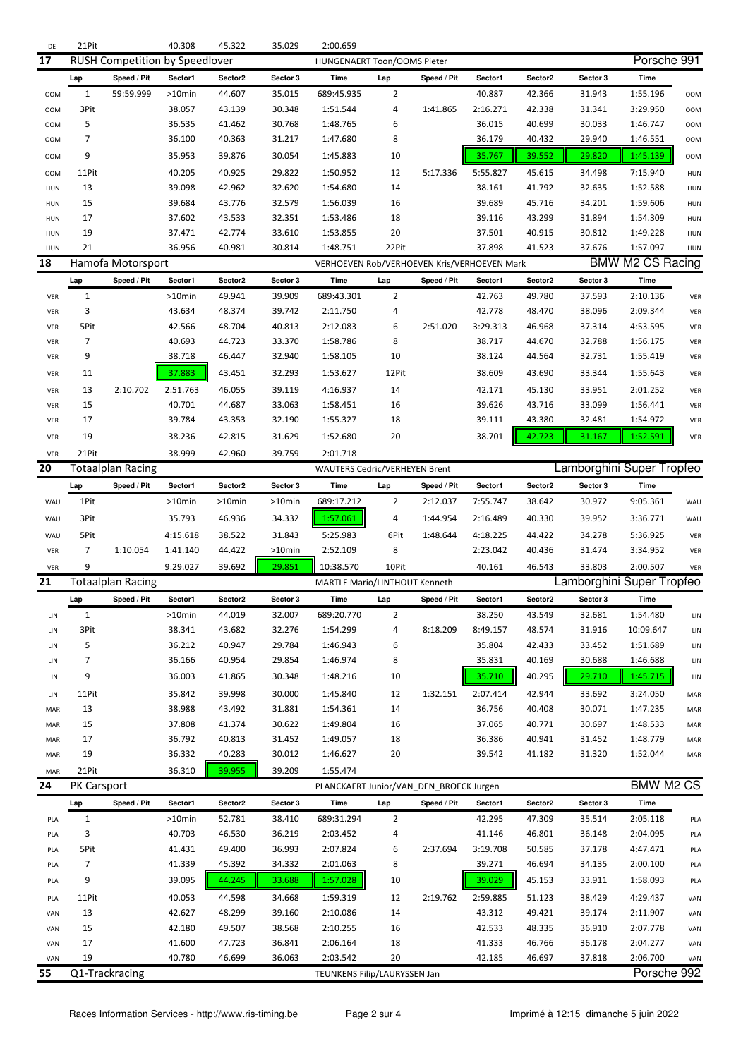| DE         | 21Pit                                                                               |                          | 40.308    | 45.322    | 35.029   | 2:00.659                                    |                |             |          |         |            |                           |            |
|------------|-------------------------------------------------------------------------------------|--------------------------|-----------|-----------|----------|---------------------------------------------|----------------|-------------|----------|---------|------------|---------------------------|------------|
| 17         | Porsche 991<br><b>RUSH Competition by Speedlover</b><br>HUNGENAERT Toon/OOMS Pieter |                          |           |           |          |                                             |                |             |          |         |            |                           |            |
|            | Lap                                                                                 | Speed / Pit              | Sector1   | Sector2   | Sector 3 | Time                                        | Lap            | Speed / Pit | Sector1  | Sector2 | Sector 3   | Time                      |            |
| <b>OOM</b> | $\mathbf{1}$                                                                        | 59:59.999                | $>10$ min | 44.607    | 35.015   | 689:45.935                                  | $\overline{2}$ |             | 40.887   | 42.366  | 31.943     | 1:55.196                  | <b>OOM</b> |
| <b>OOM</b> | 3Pit                                                                                |                          | 38.057    | 43.139    | 30.348   | 1:51.544                                    | 4              | 1:41.865    | 2:16.271 | 42.338  | 31.341     | 3:29.950                  | <b>OOM</b> |
| <b>OOM</b> | 5                                                                                   |                          | 36.535    | 41.462    | 30.768   | 1:48.765                                    | 6              |             | 36.015   | 40.699  | 30.033     | 1:46.747                  | <b>OOM</b> |
| <b>OOM</b> | 7                                                                                   |                          | 36.100    | 40.363    | 31.217   | 1:47.680                                    | 8              |             | 36.179   | 40.432  | 29.940     | 1:46.551                  | <b>OOM</b> |
| <b>OOM</b> | 9                                                                                   |                          | 35.953    | 39.876    | 30.054   | 1:45.883                                    | 10             |             | 35.767   | 39.552  | 29.820     | 1:45.139                  | <b>OOM</b> |
| 00M        | 11Pit                                                                               |                          | 40.205    | 40.925    | 29.822   | 1:50.952                                    | 12             | 5:17.336    | 5:55.827 | 45.615  | 34.498     | 7:15.940                  | HUN        |
| <b>HUN</b> | 13                                                                                  |                          | 39.098    | 42.962    | 32.620   | 1:54.680                                    | 14             |             | 38.161   | 41.792  | 32.635     | 1:52.588                  | HUN        |
| <b>HUN</b> | 15                                                                                  |                          | 39.684    | 43.776    | 32.579   | 1:56.039                                    | 16             |             | 39.689   | 45.716  | 34.201     | 1:59.606                  | HUN        |
| <b>HUN</b> | 17                                                                                  |                          | 37.602    | 43.533    | 32.351   | 1:53.486                                    | 18             |             | 39.116   | 43.299  | 31.894     | 1:54.309                  | HUN        |
| <b>HUN</b> | 19                                                                                  |                          | 37.471    | 42.774    | 33.610   | 1:53.855                                    | 20             |             | 37.501   | 40.915  | 30.812     | 1:49.228                  | HUN        |
| HUN        | 21                                                                                  |                          | 36.956    | 40.981    | 30.814   | 1:48.751                                    | 22Pit          |             | 37.898   | 41.523  | 37.676     | 1:57.097                  | HUN        |
| 18         |                                                                                     | Hamofa Motorsport        |           |           |          | VERHOEVEN Rob/VERHOEVEN Kris/VERHOEVEN Mark |                |             |          |         | <b>BMW</b> | M <sub>2</sub> CS Racing  |            |
|            | Lap                                                                                 | Speed / Pit              | Sector1   | Sector2   | Sector 3 | Time                                        | Lap            | Speed / Pit | Sector1  | Sector2 | Sector 3   | Time                      |            |
| VER        | $\mathbf{1}$                                                                        |                          | $>10$ min | 49.941    | 39.909   | 689:43.301                                  | 2              |             | 42.763   | 49.780  | 37.593     | 2:10.136                  | VER        |
| VER        | 3                                                                                   |                          | 43.634    | 48.374    | 39.742   | 2:11.750                                    | 4              |             | 42.778   | 48.470  | 38.096     | 2:09.344                  | VER        |
| VER        | 5Pit                                                                                |                          | 42.566    | 48.704    | 40.813   | 2:12.083                                    | 6              | 2:51.020    | 3:29.313 | 46.968  | 37.314     | 4:53.595                  | VER        |
| VER        | 7                                                                                   |                          | 40.693    | 44.723    | 33.370   | 1:58.786                                    | 8              |             | 38.717   | 44.670  | 32.788     | 1:56.175                  | VER        |
| VER        | 9                                                                                   |                          | 38.718    | 46.447    | 32.940   | 1:58.105                                    | 10             |             | 38.124   | 44.564  | 32.731     | 1:55.419                  | VER        |
| VER        | 11                                                                                  |                          | 37.883    | 43.451    | 32.293   | 1:53.627                                    | 12Pit          |             | 38.609   | 43.690  | 33.344     | 1:55.643                  | VER        |
| <b>VER</b> | 13                                                                                  | 2:10.702                 | 2:51.763  | 46.055    | 39.119   | 4:16.937                                    | 14             |             | 42.171   | 45.130  | 33.951     | 2:01.252                  |            |
|            | 15                                                                                  |                          | 40.701    | 44.687    | 33.063   | 1:58.451                                    | 16             |             | 39.626   | 43.716  | 33.099     | 1:56.441                  | VER        |
| VER<br>VER | 17                                                                                  |                          | 39.784    | 43.353    | 32.190   | 1:55.327                                    | 18             |             | 39.111   | 43.380  | 32.481     | 1:54.972                  | VER<br>VER |
|            |                                                                                     |                          |           |           |          |                                             |                |             |          |         |            |                           |            |
| VER        | 19                                                                                  |                          | 38.236    | 42.815    | 31.629   | 1:52.680                                    | 20             |             | 38.701   | 42.723  | 31.167     | 1:52.591                  | VER        |
| VER        | 21Pit                                                                               |                          | 38.999    | 42.960    | 39.759   | 2:01.718                                    |                |             |          |         |            |                           |            |
| 20         |                                                                                     | <b>Totaalplan Racing</b> |           |           |          | <b>WAUTERS Cedric/VERHEYEN Brent</b>        |                |             |          |         |            | Lamborghini Super Tropfeo |            |
|            | Lap                                                                                 | Speed / Pit              | Sector1   | Sector2   | Sector 3 | Time                                        | Lap            | Speed / Pit | Sector1  | Sector2 | Sector 3   | Time                      |            |
| WAU        | 1Pit                                                                                |                          | $>10$ min | $>10$ min | >10min   | 689:17.212                                  | 2              | 2:12.037    | 7:55.747 | 38.642  | 30.972     | 9:05.361                  | WAU        |
| WAU        | 3Pit                                                                                |                          | 35.793    | 46.936    | 34.332   | 1:57.061                                    | 4              | 1:44.954    | 2:16.489 | 40.330  | 39.952     | 3:36.771                  | WAU        |
| WAU        | 5Pit                                                                                |                          | 4:15.618  | 38.522    | 31.843   | 5:25.983                                    | 6Pit           | 1:48.644    | 4:18.225 | 44.422  | 34.278     | 5:36.925                  | VER        |
| VER        | 7                                                                                   | 1:10.054                 | 1:41.140  | 44.422    | >10min   | 2:52.109                                    | 8              |             | 2:23.042 | 40.436  | 31.474     | 3:34.952                  | VER        |
| VER        | 9                                                                                   |                          | 9:29.027  | 39.692    | 29.851   | 10:38.570                                   | 10Pit          |             | 40.161   | 46.543  | 33.803     | 2:00.507                  | VER        |
| 21         |                                                                                     | <b>Totaalplan Racing</b> |           |           |          | MARTLE Mario/LINTHOUT Kenneth               |                |             |          |         |            | Lamborghini Super Tropfeo |            |
|            | Lap                                                                                 | Speed / Pit              | Sector1   | Sector2   | Sector 3 | Time                                        | Lap            | Speed / Pit | Sector1  | Sector2 | Sector 3   | Time                      |            |
| LIN        | 1                                                                                   |                          | $>10$ min | 44.019    | 32.007   | 689:20.770                                  | 2              |             | 38.250   | 43.549  | 32.681     | 1:54.480                  | LIN        |
| LIN        | 3Pit                                                                                |                          | 38.341    | 43.682    | 32.276   | 1:54.299                                    | 4              | 8:18.209    | 8:49.157 | 48.574  | 31.916     | 10:09.647                 | LIN        |
| LIN        | 5                                                                                   |                          | 36.212    | 40.947    | 29.784   | 1:46.943                                    | 6              |             | 35.804   | 42.433  | 33.452     | 1:51.689                  | LIN        |
| LIN        | 7                                                                                   |                          | 36.166    | 40.954    | 29.854   | 1:46.974                                    | 8              |             | 35.831   | 40.169  | 30.688     | 1:46.688                  | LIN        |
| LIN        | 9                                                                                   |                          | 36.003    | 41.865    | 30.348   | 1:48.216                                    | 10             |             | 35.710   | 40.295  | 29.710     | 1:45.715                  | LIN        |
| LIN        | 11Pit                                                                               |                          | 35.842    | 39.998    | 30.000   | 1:45.840                                    | 12             | 1:32.151    | 2:07.414 | 42.944  | 33.692     | 3:24.050                  | MAR        |
| MAR        | 13                                                                                  |                          | 38.988    | 43.492    | 31.881   | 1:54.361                                    | 14             |             | 36.756   | 40.408  | 30.071     | 1:47.235                  | MAR        |
| MAR        | 15                                                                                  |                          | 37.808    | 41.374    | 30.622   | 1:49.804                                    | 16             |             | 37.065   | 40.771  | 30.697     | 1:48.533                  | MAR        |
| MAR        | 17                                                                                  |                          | 36.792    | 40.813    | 31.452   | 1:49.057                                    | 18             |             | 36.386   | 40.941  | 31.452     | 1:48.779                  | MAR        |
| MAR        | 19                                                                                  |                          | 36.332    | 40.283    | 30.012   | 1:46.627                                    | 20             |             | 39.542   | 41.182  | 31.320     | 1:52.044                  | MAR        |
| MAR        | 21Pit                                                                               |                          | 36.310    | 39.955    | 39.209   | 1:55.474                                    |                |             |          |         |            |                           |            |
| 24         | <b>PK Carsport</b>                                                                  |                          |           |           |          | PLANCKAERT Junior/VAN DEN BROECK Jurgen     |                |             |          |         |            | <b>BMW M2 CS</b>          |            |
|            | Lap                                                                                 | Speed / Pit              | Sector1   | Sector2   | Sector 3 | Time                                        | Lap            | Speed / Pit | Sector1  | Sector2 | Sector 3   | Time                      |            |
|            | $\mathbf{1}$                                                                        |                          | $>10$ min | 52.781    | 38.410   | 689:31.294                                  | $\overline{2}$ |             | 42.295   | 47.309  | 35.514     | 2:05.118                  | PLA        |
| PLA<br>PLA | 3                                                                                   |                          | 40.703    | 46.530    | 36.219   | 2:03.452                                    | 4              |             | 41.146   | 46.801  | 36.148     | 2:04.095                  | PLA        |
| PLA        | 5Pit                                                                                |                          | 41.431    | 49.400    | 36.993   | 2:07.824                                    | 6              | 2:37.694    | 3:19.708 | 50.585  | 37.178     | 4:47.471                  | PLA        |
| PLA        | $\overline{7}$                                                                      |                          | 41.339    | 45.392    | 34.332   | 2:01.063                                    | 8              |             | 39.271   | 46.694  | 34.135     | 2:00.100                  | PLA        |
|            | 9                                                                                   |                          | 39.095    |           |          |                                             |                |             | 39.029   |         |            |                           |            |
| PLA        |                                                                                     |                          |           | 44.245    | 33.688   | 1:57.028                                    | 10             |             |          | 45.153  | 33.911     | 1:58.093                  | PLA        |
| PLA        | 11Pit                                                                               |                          | 40.053    | 44.598    | 34.668   | 1:59.319                                    | 12             | 2:19.762    | 2:59.885 | 51.123  | 38.429     | 4:29.437                  | VAN        |
| VAN        | 13                                                                                  |                          | 42.627    | 48.299    | 39.160   | 2:10.086                                    | 14             |             | 43.312   | 49.421  | 39.174     | 2:11.907                  | VAN        |
| VAN        | 15                                                                                  |                          | 42.180    | 49.507    | 38.568   | 2:10.255                                    | 16             |             | 42.533   | 48.335  | 36.910     | 2:07.778                  | VAN        |
| VAN        | 17                                                                                  |                          | 41.600    | 47.723    | 36.841   | 2:06.164                                    | 18             |             | 41.333   | 46.766  | 36.178     | 2:04.277                  | VAN        |
| VAN        | 19                                                                                  |                          | 40.780    | 46.699    | 36.063   | 2:03.542                                    | 20             |             | 42.185   | 46.697  | 37.818     | 2:06.700                  | VAN        |
| 55         |                                                                                     | Q1-Trackracing           |           |           |          | TEUNKENS Filip/LAURYSSEN Jan                |                |             |          |         |            | Porsche 992               |            |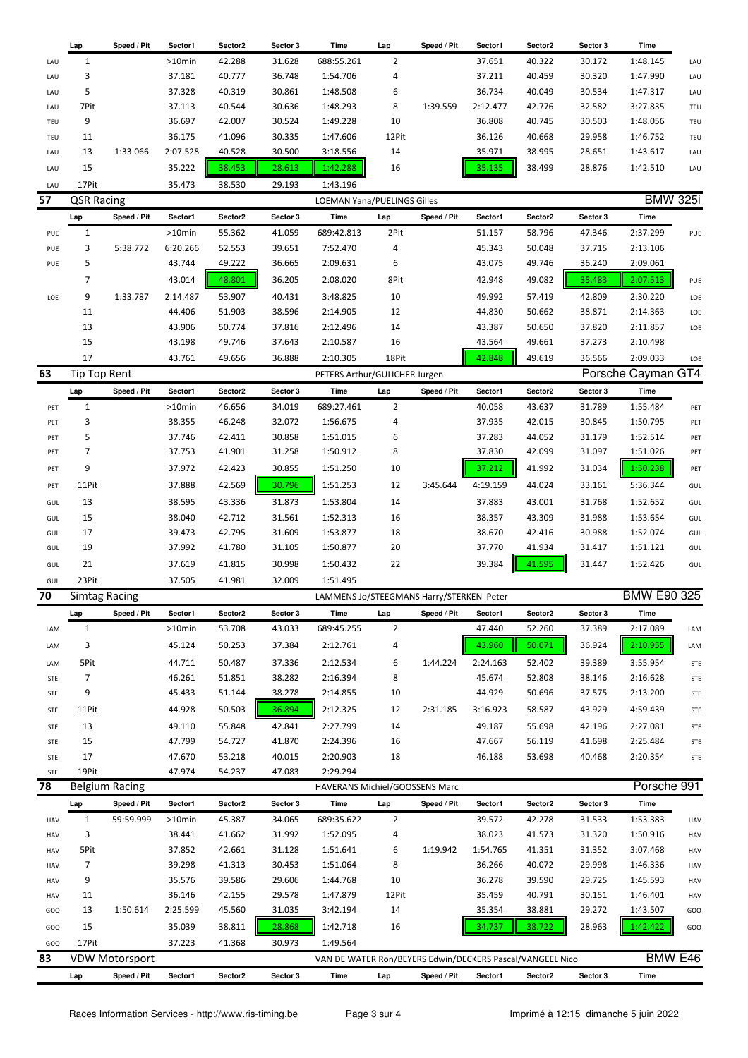|     | Lap                  | Speed / Pit           | Sector1   | Sector2 | Sector 3 | Time                                     | Lap            | Speed / Pit | Sector1                                                   | Sector2 | Sector 3 | Time                 |            |
|-----|----------------------|-----------------------|-----------|---------|----------|------------------------------------------|----------------|-------------|-----------------------------------------------------------|---------|----------|----------------------|------------|
| LAU | $\mathbf{1}$         |                       | >10min    | 42.288  | 31.628   | 688:55.261                               | $\overline{2}$ |             | 37.651                                                    | 40.322  | 30.172   | 1:48.145             | LAU        |
| LAU | 3                    |                       | 37.181    | 40.777  | 36.748   | 1:54.706                                 | 4              |             | 37.211                                                    | 40.459  | 30.320   | 1:47.990             | LAU        |
| LAU | 5                    |                       | 37.328    | 40.319  | 30.861   | 1:48.508                                 | 6              |             | 36.734                                                    | 40.049  | 30.534   | 1:47.317             | LAU        |
| LAU | 7Pit                 |                       | 37.113    | 40.544  | 30.636   | 1:48.293                                 | 8              | 1:39.559    | 2:12.477                                                  | 42.776  | 32.582   | 3:27.835             | TEU        |
| TEU | 9                    |                       | 36.697    | 42.007  | 30.524   | 1:49.228                                 | 10             |             | 36.808                                                    | 40.745  | 30.503   | 1:48.056             | TEU        |
| TEU | 11                   |                       | 36.175    | 41.096  | 30.335   | 1:47.606                                 | 12Pit          |             | 36.126                                                    | 40.668  | 29.958   | 1:46.752             | TEU        |
| LAU | 13                   | 1:33.066              | 2:07.528  | 40.528  | 30.500   | 3:18.556                                 | 14             |             | 35.971                                                    | 38.995  | 28.651   | 1:43.617             | LAU        |
| LAU | 15                   |                       | 35.222    | 38.453  | 28.613   | 1:42.288                                 | 16             |             | 35.135                                                    | 38.499  | 28.876   | 1:42.510             | LAU        |
| LAU | 17Pit                |                       | 35.473    | 38.530  | 29.193   | 1:43.196                                 |                |             |                                                           |         |          |                      |            |
| 57  | <b>QSR Racing</b>    |                       |           |         |          | <b>LOEMAN Yana/PUELINGS Gilles</b>       |                |             |                                                           |         |          | <b>BMW 325i</b>      |            |
|     | Lap                  | Speed / Pit           | Sector1   | Sector2 | Sector 3 | Time                                     | Lap            | Speed / Pit | Sector1                                                   | Sector2 | Sector 3 | Time                 |            |
| PUE | $\mathbf{1}$         |                       | $>10$ min | 55.362  | 41.059   | 689:42.813                               | 2Pit           |             | 51.157                                                    | 58.796  | 47.346   | 2:37.299             | PUE        |
| PUE | 3                    | 5:38.772              | 6:20.266  | 52.553  | 39.651   | 7:52.470                                 | 4              |             | 45.343                                                    | 50.048  | 37.715   | 2:13.106             |            |
| PUE | 5                    |                       | 43.744    | 49.222  | 36.665   | 2:09.631                                 | 6              |             | 43.075                                                    | 49.746  | 36.240   | 2:09.061             |            |
|     | 7                    |                       | 43.014    | 48.801  | 36.205   | 2:08.020                                 | 8Pit           |             | 42.948                                                    | 49.082  | 35.483   | 2:07.513             | PUE        |
| LOE | 9                    | 1:33.787              | 2:14.487  | 53.907  | 40.431   | 3:48.825                                 | 10             |             | 49.992                                                    | 57.419  | 42.809   | 2:30.220             | LOE        |
|     | 11                   |                       | 44.406    | 51.903  | 38.596   | 2:14.905                                 | 12             |             | 44.830                                                    | 50.662  | 38.871   | 2:14.363             | LOE        |
|     | 13                   |                       | 43.906    | 50.774  | 37.816   | 2:12.496                                 | 14             |             | 43.387                                                    | 50.650  | 37.820   | 2:11.857             | LOE        |
|     | 15                   |                       | 43.198    | 49.746  | 37.643   | 2:10.587                                 | 16             |             | 43.564                                                    | 49.661  | 37.273   | 2:10.498             |            |
|     |                      |                       |           |         |          |                                          |                |             |                                                           |         |          |                      |            |
|     | 17                   |                       | 43.761    | 49.656  | 36.888   | 2:10.305                                 | 18Pit          |             | 42.848                                                    | 49.619  | 36.566   | 2:09.033             | LOE        |
| 63  | <b>Tip Top Rent</b>  |                       |           |         |          | PETERS Arthur/GULICHER Jurgen            |                |             |                                                           |         |          | Porsche Cayman GT4   |            |
|     | Lap                  | Speed / Pit           | Sector1   | Sector2 | Sector 3 | Time                                     | Lap            | Speed / Pit | Sector1                                                   | Sector2 | Sector 3 | Time                 |            |
| PET | $\mathbf{1}$         |                       | >10min    | 46.656  | 34.019   | 689:27.461                               | $\overline{2}$ |             | 40.058                                                    | 43.637  | 31.789   | 1:55.484             | PET        |
| PET | 3                    |                       | 38.355    | 46.248  | 32.072   | 1:56.675                                 | 4              |             | 37.935                                                    | 42.015  | 30.845   | 1:50.795             | PET        |
| PET | 5                    |                       | 37.746    | 42.411  | 30.858   | 1:51.015                                 | 6              |             | 37.283                                                    | 44.052  | 31.179   | 1:52.514             | PET        |
| PET | 7                    |                       | 37.753    | 41.901  | 31.258   | 1:50.912                                 | 8              |             | 37.830                                                    | 42.099  | 31.097   | 1:51.026             | PET        |
| PET | 9                    |                       | 37.972    | 42.423  | 30.855   | 1:51.250                                 | 10             |             | 37.212                                                    | 41.992  | 31.034   | 1:50.238             | PET        |
| PET | 11Pit                |                       | 37.888    | 42.569  | 30.796   | 1:51.253                                 | 12             | 3:45.644    | 4:19.159                                                  | 44.024  | 33.161   | 5:36.344             | GUL        |
| GUL | 13                   |                       | 38.595    | 43.336  | 31.873   | 1:53.804                                 | 14             |             | 37.883                                                    | 43.001  | 31.768   | 1:52.652             | GUL        |
| GUL | 15                   |                       | 38.040    | 42.712  | 31.561   | 1:52.313                                 | 16             |             | 38.357                                                    | 43.309  | 31.988   | 1:53.654             | GUL        |
| GUL | 17                   |                       | 39.473    | 42.795  | 31.609   | 1:53.877                                 | 18             |             | 38.670                                                    | 42.416  | 30.988   | 1:52.074             | GUL        |
| GUL | 19                   |                       | 37.992    | 41.780  | 31.105   | 1:50.877                                 | 20             |             | 37.770                                                    | 41.934  | 31.417   | 1:51.121             | GUL        |
| GUL | 21                   |                       | 37.619    | 41.815  | 30.998   | 1:50.432                                 | 22             |             | 39.384                                                    | 41.595  | 31.447   | 1:52.426             | GUL        |
| GUL | 23Pit                |                       | 37.505    | 41.981  | 32.009   | 1:51.495                                 |                |             |                                                           |         |          |                      |            |
| 70  | <b>Simtag Racing</b> |                       |           |         |          | LAMMENS Jo/STEEGMANS Harry/STERKEN Peter |                |             |                                                           |         |          | <b>BMW E90 325</b>   |            |
|     | Lap                  | Speed / Pit           | Sector1   | Sector2 | Sector 3 | Time                                     | Lap            | Speed / Pit | Sector1                                                   | Sector2 | Sector 3 | Time                 |            |
| LAM | $\mathbf{1}$         |                       | >10min    | 53.708  | 43.033   | 689:45.255                               | 2              |             | 47.440                                                    | 52.260  | 37.389   | 2:17.089             | LAM        |
| LAM | 3                    |                       | 45.124    | 50.253  | 37.384   | 2:12.761                                 | 4              |             | 43.960                                                    | 50.071  | 36.924   | 2:10.955             | LAM        |
| LAM | 5Pit                 |                       | 44.711    | 50.487  | 37.336   | 2:12.534                                 | 6              | 1:44.224    | 2:24.163                                                  | 52.402  | 39.389   | 3:55.954             | <b>STE</b> |
| STE | 7                    |                       | 46.261    | 51.851  | 38.282   | 2:16.394                                 | 8              |             | 45.674                                                    | 52.808  | 38.146   | 2:16.628             | STE        |
| STE | 9                    |                       | 45.433    | 51.144  | 38.278   | 2:14.855                                 | 10             |             | 44.929                                                    | 50.696  | 37.575   | 2:13.200             | <b>STE</b> |
| STE | 11Pit                |                       | 44.928    | 50.503  | 36.894   | 2:12.325                                 | 12             | 2:31.185    | 3:16.923                                                  | 58.587  | 43.929   | 4:59.439             |            |
|     |                      |                       |           |         |          |                                          |                |             |                                                           |         |          |                      | <b>STE</b> |
| STE | 13                   |                       | 49.110    | 55.848  | 42.841   | 2:27.799                                 | 14             |             | 49.187                                                    | 55.698  | 42.196   | 2:27.081             | <b>STE</b> |
| STE | 15                   |                       | 47.799    | 54.727  | 41.870   | 2:24.396                                 | 16             |             | 47.667                                                    | 56.119  | 41.698   | 2:25.484             | <b>STE</b> |
| STE | 17                   |                       | 47.670    | 53.218  | 40.015   | 2:20.903                                 | 18             |             | 46.188                                                    | 53.698  | 40.468   | 2:20.354             | STE        |
| STE | 19Pit                |                       | 47.974    | 54.237  | 47.083   | 2:29.294                                 |                |             |                                                           |         |          | Porsche 991          |            |
| 78  |                      | <b>Belgium Racing</b> |           |         |          | HAVERANS Michiel/GOOSSENS Marc           |                |             |                                                           |         |          |                      |            |
|     | Lap                  | Speed / Pit           | Sector1   | Sector2 | Sector 3 | Time                                     | Lap            | Speed / Pit | Sector1                                                   | Sector2 | Sector 3 | Time                 |            |
| HAV | $\mathbf{1}$         | 59:59.999             | >10min    | 45.387  | 34.065   | 689:35.622                               | 2              |             | 39.572                                                    | 42.278  | 31.533   | 1:53.383             | HAV        |
| HAV | 3                    |                       | 38.441    | 41.662  | 31.992   | 1:52.095                                 | 4              |             | 38.023                                                    | 41.573  | 31.320   | 1:50.916             | HAV        |
| HAV | 5Pit                 |                       | 37.852    | 42.661  | 31.128   | 1:51.641                                 | 6              | 1:19.942    | 1:54.765                                                  | 41.351  | 31.352   | 3:07.468             | HAV        |
| HAV | 7                    |                       | 39.298    | 41.313  | 30.453   | 1:51.064                                 | 8              |             | 36.266                                                    | 40.072  | 29.998   | 1:46.336             | HAV        |
| HAV | 9                    |                       | 35.576    | 39.586  | 29.606   | 1:44.768                                 | 10             |             | 36.278                                                    | 39.590  | 29.725   | 1:45.593             | HAV        |
| HAV | 11                   |                       | 36.146    | 42.155  | 29.578   | 1:47.879                                 | 12Pit          |             | 35.459                                                    | 40.791  | 30.151   | 1:46.401             | HAV        |
| GOO | 13                   | 1:50.614              | 2:25.599  | 45.560  | 31.035   | 3:42.194                                 | 14             |             | 35.354                                                    | 38.881  | 29.272   | 1:43.507             | GOO        |
| GOO | 15                   |                       | 35.039    | 38.811  | 28.868   | 1:42.718                                 | 16             |             | 34.737                                                    | 38.722  | 28.963   | 1:42.422             | GOO        |
| GOO | 17Pit                |                       | 37.223    | 41.368  | 30.973   | 1:49.564                                 |                |             |                                                           |         |          |                      |            |
| 83  |                      | <b>VDW Motorsport</b> |           |         |          |                                          |                |             | VAN DE WATER Ron/BEYERS Edwin/DECKERS Pascal/VANGEEL Nico |         |          | BMW $E\overline{46}$ |            |
|     | Lap                  | Speed / Pit           | Sector1   | Sector2 | Sector 3 | Time                                     | Lap            | Speed / Pit | Sector1                                                   | Sector2 | Sector 3 | Time                 |            |